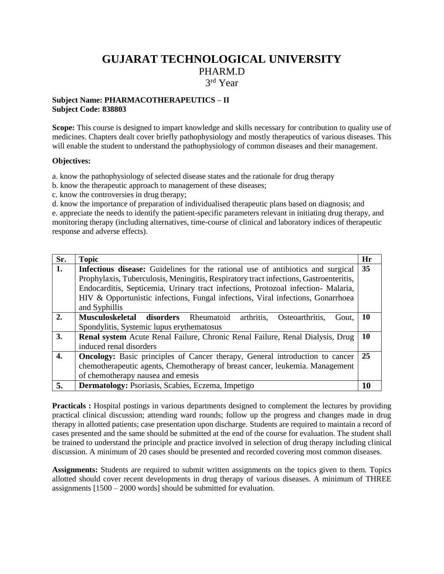## **GUJARAT TECHNOLOGICAL UNIVERSITY** PHARM.D 3 rd Year

## **Subject Name: PHARMACOTHERAPEUTICS – II Subject Code: 838803**

**Scope:** This course is designed to impart knowledge and skills necessary for contribution to quality use of medicines. Chapters dealt cover briefly pathophysiology and mostly therapeutics of various diseases. This will enable the student to understand the pathophysiology of common diseases and their management.

## **Objectives:**

a. know the pathophysiology of selected disease states and the rationale for drug therapy

b. know the therapeutic approach to management of these diseases;

c. know the controversies in drug therapy;

d. know the importance of preparation of individualised therapeutic plans based on diagnosis; and e. appreciate the needs to identify the patient-specific parameters relevant in initiating drug therapy, and monitoring therapy (including alternatives, time-course of clinical and laboratory indices of therapeutic response and adverse effects).

| Sr.              | <b>Topic</b>                                                                           | Hr |
|------------------|----------------------------------------------------------------------------------------|----|
| 1.               | <b>Infectious disease:</b> Guidelines for the rational use of antibiotics and surgical | 35 |
|                  | Prophylaxis, Tuberculosis, Meningitis, Respiratory tract infections, Gastroenteritis,  |    |
|                  | Endocarditis, Septicemia, Urinary tract infections, Protozoal infection- Malaria,      |    |
|                  | HIV & Opportunistic infections, Fungal infections, Viral infections, Gonarrhoea        |    |
|                  | and Syphillis                                                                          |    |
| 2.               | arthritis,<br>Musculoskeletal disorders Rheumatoid<br>Osteoarthritis,<br>Gout.         | 10 |
|                  | Spondylitis, Systemic lupus erythematosus                                              |    |
| 3.               | Renal system Acute Renal Failure, Chronic Renal Failure, Renal Dialysis, Drug          | 10 |
|                  | induced renal disorders                                                                |    |
| $\overline{4}$ . | <b>Oncology:</b> Basic principles of Cancer therapy, General introduction to cancer    | 25 |
|                  | chemotherapeutic agents, Chemotherapy of breast cancer, leukemia. Management           |    |
|                  | of chemotherapy nausea and emesis                                                      |    |
| 5.               | Dermatology: Psoriasis, Scabies, Eczema, Impetigo                                      |    |

**Practicals :** Hospital postings in various departments designed to complement the lectures by providing practical clinical discussion; attending ward rounds; follow up the progress and changes made in drug therapy in allotted patients; case presentation upon discharge. Students are required to maintain a record of cases presented and the same should be submitted at the end of the course for evaluation. The student shall be trained to understand the principle and practice involved in selection of drug therapy including clinical discussion. A minimum of 20 cases should be presented and recorded covering most common diseases.

**Assignments:** Students are required to submit written assignments on the topics given to them. Topics allotted should cover recent developments in drug therapy of various diseases. A minimum of THREE assignments [1500 – 2000 words] should be submitted for evaluation.